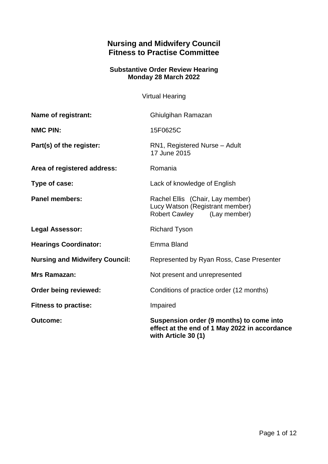# **Nursing and Midwifery Council Fitness to Practise Committee**

## **Substantive Order Review Hearing Monday 28 March 2022**

Virtual Hearing

| Name of registrant:                   | Ghiulgihan Ramazan                                                                                               |
|---------------------------------------|------------------------------------------------------------------------------------------------------------------|
| <b>NMC PIN:</b>                       | 15F0625C                                                                                                         |
| Part(s) of the register:              | RN1, Registered Nurse - Adult<br>17 June 2015                                                                    |
| Area of registered address:           | Romania                                                                                                          |
| Type of case:                         | Lack of knowledge of English                                                                                     |
| <b>Panel members:</b>                 | Rachel Ellis (Chair, Lay member)<br>Lucy Watson (Registrant member)<br><b>Robert Cawley</b><br>(Lay member)      |
| <b>Legal Assessor:</b>                | <b>Richard Tyson</b>                                                                                             |
| <b>Hearings Coordinator:</b>          | Emma Bland                                                                                                       |
| <b>Nursing and Midwifery Council:</b> | Represented by Ryan Ross, Case Presenter                                                                         |
| Mrs Ramazan:                          | Not present and unrepresented                                                                                    |
| Order being reviewed:                 | Conditions of practice order (12 months)                                                                         |
| <b>Fitness to practise:</b>           | Impaired                                                                                                         |
| <b>Outcome:</b>                       | Suspension order (9 months) to come into<br>effect at the end of 1 May 2022 in accordance<br>with Article 30 (1) |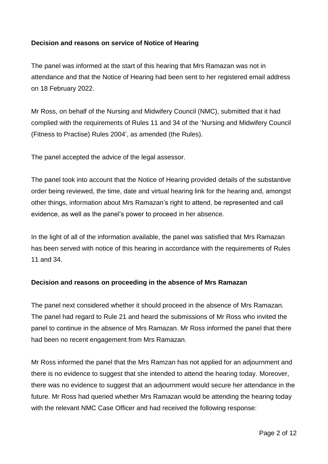### **Decision and reasons on service of Notice of Hearing**

The panel was informed at the start of this hearing that Mrs Ramazan was not in attendance and that the Notice of Hearing had been sent to her registered email address on 18 February 2022.

Mr Ross, on behalf of the Nursing and Midwifery Council (NMC), submitted that it had complied with the requirements of Rules 11 and 34 of the 'Nursing and Midwifery Council (Fitness to Practise) Rules 2004', as amended (the Rules).

The panel accepted the advice of the legal assessor.

The panel took into account that the Notice of Hearing provided details of the substantive order being reviewed, the time, date and virtual hearing link for the hearing and, amongst other things, information about Mrs Ramazan's right to attend, be represented and call evidence, as well as the panel's power to proceed in her absence.

In the light of all of the information available, the panel was satisfied that Mrs Ramazan has been served with notice of this hearing in accordance with the requirements of Rules 11 and 34.

#### **Decision and reasons on proceeding in the absence of Mrs Ramazan**

The panel next considered whether it should proceed in the absence of Mrs Ramazan. The panel had regard to Rule 21 and heard the submissions of Mr Ross who invited the panel to continue in the absence of Mrs Ramazan. Mr Ross informed the panel that there had been no recent engagement from Mrs Ramazan.

Mr Ross informed the panel that the Mrs Ramzan has not applied for an adjournment and there is no evidence to suggest that she intended to attend the hearing today. Moreover, there was no evidence to suggest that an adjournment would secure her attendance in the future. Mr Ross had queried whether Mrs Ramazan would be attending the hearing today with the relevant NMC Case Officer and had received the following response: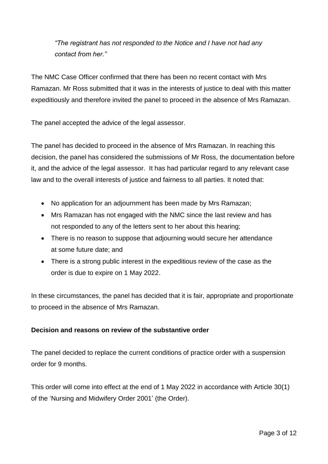*"The registrant has not responded to the Notice and I have not had any contact from her."*

The NMC Case Officer confirmed that there has been no recent contact with Mrs Ramazan. Mr Ross submitted that it was in the interests of justice to deal with this matter expeditiously and therefore invited the panel to proceed in the absence of Mrs Ramazan.

The panel accepted the advice of the legal assessor.

The panel has decided to proceed in the absence of Mrs Ramazan. In reaching this decision, the panel has considered the submissions of Mr Ross, the documentation before it, and the advice of the legal assessor. It has had particular regard to any relevant case law and to the overall interests of justice and fairness to all parties. It noted that:

- No application for an adjournment has been made by Mrs Ramazan;
- Mrs Ramazan has not engaged with the NMC since the last review and has not responded to any of the letters sent to her about this hearing;
- There is no reason to suppose that adjourning would secure her attendance at some future date; and
- There is a strong public interest in the expeditious review of the case as the order is due to expire on 1 May 2022.

In these circumstances, the panel has decided that it is fair, appropriate and proportionate to proceed in the absence of Mrs Ramazan.

### **Decision and reasons on review of the substantive order**

The panel decided to replace the current conditions of practice order with a suspension order for 9 months.

This order will come into effect at the end of 1 May 2022 in accordance with Article 30(1) of the 'Nursing and Midwifery Order 2001' (the Order).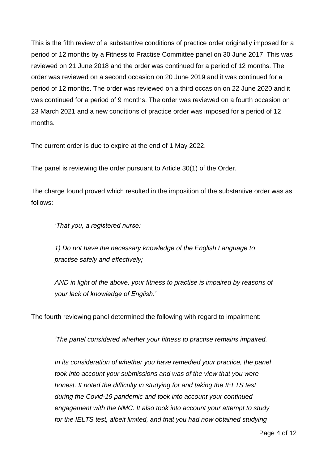This is the fifth review of a substantive conditions of practice order originally imposed for a period of 12 months by a Fitness to Practise Committee panel on 30 June 2017. This was reviewed on 21 June 2018 and the order was continued for a period of 12 months. The order was reviewed on a second occasion on 20 June 2019 and it was continued for a period of 12 months. The order was reviewed on a third occasion on 22 June 2020 and it was continued for a period of 9 months. The order was reviewed on a fourth occasion on 23 March 2021 and a new conditions of practice order was imposed for a period of 12 months.

The current order is due to expire at the end of 1 May 2022.

The panel is reviewing the order pursuant to Article 30(1) of the Order.

The charge found proved which resulted in the imposition of the substantive order was as follows:

*'That you, a registered nurse:* 

*1) Do not have the necessary knowledge of the English Language to practise safely and effectively;* 

*AND in light of the above, your fitness to practise is impaired by reasons of your lack of knowledge of English.'*

The fourth reviewing panel determined the following with regard to impairment:

*'The panel considered whether your fitness to practise remains impaired.* 

In its consideration of whether you have remedied your practice, the panel *took into account your submissions and was of the view that you were honest. It noted the difficulty in studying for and taking the IELTS test during the Covid-19 pandemic and took into account your continued engagement with the NMC. It also took into account your attempt to study for the IELTS test, albeit limited, and that you had now obtained studying*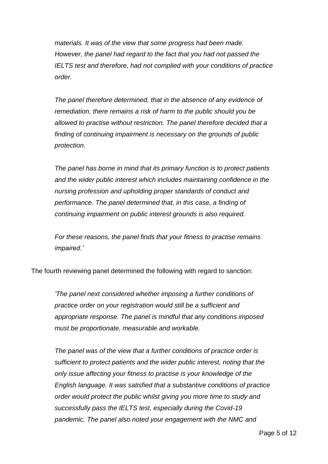*materials. It was of the view that some progress had been made. However, the panel had regard to the fact that you had not passed the IELTS test and therefore, had not complied with your conditions of practice order.*

*The panel therefore determined, that in the absence of any evidence of remediation, there remains a risk of harm to the public should you be allowed to practise without restriction. The panel therefore decided that a finding of continuing impairment is necessary on the grounds of public protection.*

*The panel has borne in mind that its primary function is to protect patients and the wider public interest which includes maintaining confidence in the nursing profession and upholding proper standards of conduct and performance. The panel determined that, in this case, a finding of continuing impairment on public interest grounds is also required.*

*For these reasons, the panel finds that your fitness to practise remains impaired.'*

The fourth reviewing panel determined the following with regard to sanction:

*'The panel next considered whether imposing a further conditions of practice order on your registration would still be a sufficient and appropriate response. The panel is mindful that any conditions imposed must be proportionate, measurable and workable.*

*The panel was of the view that a further conditions of practice order is sufficient to protect patients and the wider public interest, noting that the only issue affecting your fitness to practise is your knowledge of the English language. It was satisfied that a substantive conditions of practice order would protect the public whilst giving you more time to study and successfully pass the IELTS test, especially during the Covid-19 pandemic. The panel also noted your engagement with the NMC and*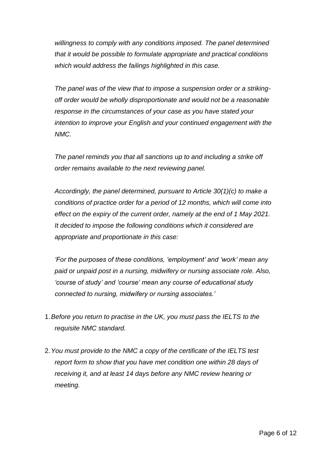*willingness to comply with any conditions imposed. The panel determined that it would be possible to formulate appropriate and practical conditions which would address the failings highlighted in this case.*

*The panel was of the view that to impose a suspension order or a strikingoff order would be wholly disproportionate and would not be a reasonable response in the circumstances of your case as you have stated your intention to improve your English and your continued engagement with the NMC.* 

*The panel reminds you that all sanctions up to and including a strike off order remains available to the next reviewing panel.*

*Accordingly, the panel determined, pursuant to Article 30(1)(c) to make a conditions of practice order for a period of 12 months, which will come into effect on the expiry of the current order, namely at the end of 1 May 2021. It decided to impose the following conditions which it considered are appropriate and proportionate in this case:*

*'For the purposes of these conditions, 'employment' and 'work' mean any paid or unpaid post in a nursing, midwifery or nursing associate role. Also, 'course of study' and 'course' mean any course of educational study connected to nursing, midwifery or nursing associates.'*

- 1.*Before you return to practise in the UK, you must pass the IELTS to the requisite NMC standard.*
- 2.*You must provide to the NMC a copy of the certificate of the IELTS test report form to show that you have met condition one within 28 days of receiving it, and at least 14 days before any NMC review hearing or meeting.*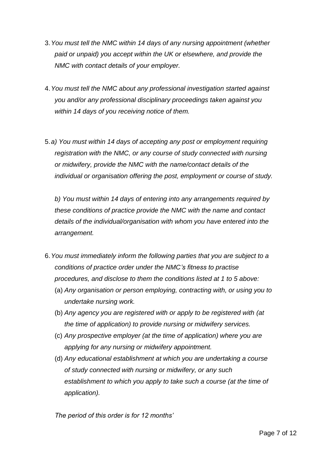- 3.*You must tell the NMC within 14 days of any nursing appointment (whether paid or unpaid) you accept within the UK or elsewhere, and provide the NMC with contact details of your employer.*
- 4.*You must tell the NMC about any professional investigation started against you and/or any professional disciplinary proceedings taken against you within 14 days of you receiving notice of them.*
- 5.*a) You must within 14 days of accepting any post or employment requiring registration with the NMC, or any course of study connected with nursing or midwifery, provide the NMC with the name/contact details of the individual or organisation offering the post, employment or course of study.*

*b) You must within 14 days of entering into any arrangements required by these conditions of practice provide the NMC with the name and contact details of the individual/organisation with whom you have entered into the arrangement.*

- 6.*You must immediately inform the following parties that you are subject to a conditions of practice order under the NMC's fitness to practise procedures, and disclose to them the conditions listed at 1 to 5 above:*
	- (a) *Any organisation or person employing, contracting with, or using you to undertake nursing work.*
	- (b) *Any agency you are registered with or apply to be registered with (at the time of application) to provide nursing or midwifery services.*
	- (c) *Any prospective employer (at the time of application) where you are applying for any nursing or midwifery appointment.*
	- (d) *Any educational establishment at which you are undertaking a course of study connected with nursing or midwifery, or any such establishment to which you apply to take such a course (at the time of application).*

*The period of this order is for 12 months'*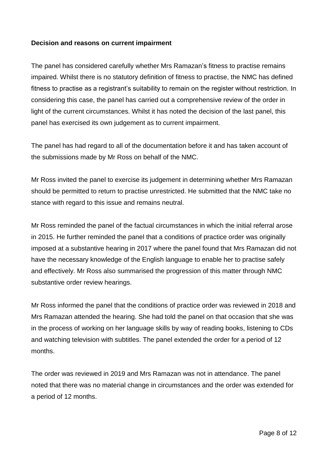#### **Decision and reasons on current impairment**

The panel has considered carefully whether Mrs Ramazan's fitness to practise remains impaired. Whilst there is no statutory definition of fitness to practise, the NMC has defined fitness to practise as a registrant's suitability to remain on the register without restriction. In considering this case, the panel has carried out a comprehensive review of the order in light of the current circumstances. Whilst it has noted the decision of the last panel, this panel has exercised its own judgement as to current impairment.

The panel has had regard to all of the documentation before it and has taken account of the submissions made by Mr Ross on behalf of the NMC.

Mr Ross invited the panel to exercise its judgement in determining whether Mrs Ramazan should be permitted to return to practise unrestricted. He submitted that the NMC take no stance with regard to this issue and remains neutral.

Mr Ross reminded the panel of the factual circumstances in which the initial referral arose in 2015. He further reminded the panel that a conditions of practice order was originally imposed at a substantive hearing in 2017 where the panel found that Mrs Ramazan did not have the necessary knowledge of the English language to enable her to practise safely and effectively. Mr Ross also summarised the progression of this matter through NMC substantive order review hearings.

Mr Ross informed the panel that the conditions of practice order was reviewed in 2018 and Mrs Ramazan attended the hearing. She had told the panel on that occasion that she was in the process of working on her language skills by way of reading books, listening to CDs and watching television with subtitles. The panel extended the order for a period of 12 months.

The order was reviewed in 2019 and Mrs Ramazan was not in attendance. The panel noted that there was no material change in circumstances and the order was extended for a period of 12 months.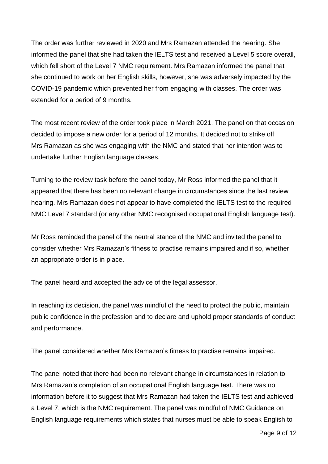The order was further reviewed in 2020 and Mrs Ramazan attended the hearing. She informed the panel that she had taken the IELTS test and received a Level 5 score overall, which fell short of the Level 7 NMC requirement. Mrs Ramazan informed the panel that she continued to work on her English skills, however, she was adversely impacted by the COVID-19 pandemic which prevented her from engaging with classes. The order was extended for a period of 9 months.

The most recent review of the order took place in March 2021. The panel on that occasion decided to impose a new order for a period of 12 months. It decided not to strike off Mrs Ramazan as she was engaging with the NMC and stated that her intention was to undertake further English language classes.

Turning to the review task before the panel today, Mr Ross informed the panel that it appeared that there has been no relevant change in circumstances since the last review hearing. Mrs Ramazan does not appear to have completed the IELTS test to the required NMC Level 7 standard (or any other NMC recognised occupational English language test).

Mr Ross reminded the panel of the neutral stance of the NMC and invited the panel to consider whether Mrs Ramazan's fitness to practise remains impaired and if so, whether an appropriate order is in place.

The panel heard and accepted the advice of the legal assessor.

In reaching its decision, the panel was mindful of the need to protect the public, maintain public confidence in the profession and to declare and uphold proper standards of conduct and performance.

The panel considered whether Mrs Ramazan's fitness to practise remains impaired.

The panel noted that there had been no relevant change in circumstances in relation to Mrs Ramazan's completion of an occupational English language test. There was no information before it to suggest that Mrs Ramazan had taken the IELTS test and achieved a Level 7, which is the NMC requirement. The panel was mindful of NMC Guidance on English language requirements which states that nurses must be able to speak English to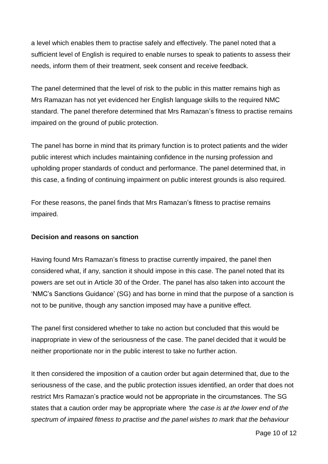a level which enables them to practise safely and effectively. The panel noted that a sufficient level of English is required to enable nurses to speak to patients to assess their needs, inform them of their treatment, seek consent and receive feedback.

The panel determined that the level of risk to the public in this matter remains high as Mrs Ramazan has not yet evidenced her English language skills to the required NMC standard. The panel therefore determined that Mrs Ramazan's fitness to practise remains impaired on the ground of public protection.

The panel has borne in mind that its primary function is to protect patients and the wider public interest which includes maintaining confidence in the nursing profession and upholding proper standards of conduct and performance. The panel determined that, in this case, a finding of continuing impairment on public interest grounds is also required.

For these reasons, the panel finds that Mrs Ramazan's fitness to practise remains impaired.

#### **Decision and reasons on sanction**

Having found Mrs Ramazan's fitness to practise currently impaired, the panel then considered what, if any, sanction it should impose in this case. The panel noted that its powers are set out in Article 30 of the Order. The panel has also taken into account the 'NMC's Sanctions Guidance' (SG) and has borne in mind that the purpose of a sanction is not to be punitive, though any sanction imposed may have a punitive effect.

The panel first considered whether to take no action but concluded that this would be inappropriate in view of the seriousness of the case. The panel decided that it would be neither proportionate nor in the public interest to take no further action.

It then considered the imposition of a caution order but again determined that, due to the seriousness of the case, and the public protection issues identified, an order that does not restrict Mrs Ramazan's practice would not be appropriate in the circumstances. The SG states that a caution order may be appropriate where *'the case is at the lower end of the spectrum of impaired fitness to practise and the panel wishes to mark that the behaviour*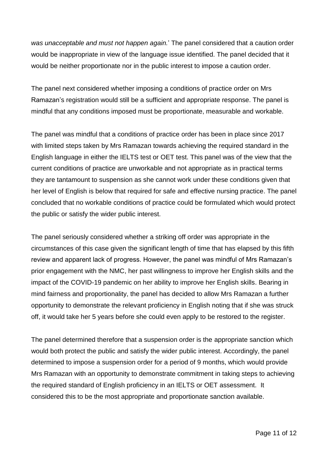*was unacceptable and must not happen again.*' The panel considered that a caution order would be inappropriate in view of the language issue identified. The panel decided that it would be neither proportionate nor in the public interest to impose a caution order.

The panel next considered whether imposing a conditions of practice order on Mrs Ramazan's registration would still be a sufficient and appropriate response. The panel is mindful that any conditions imposed must be proportionate, measurable and workable.

The panel was mindful that a conditions of practice order has been in place since 2017 with limited steps taken by Mrs Ramazan towards achieving the required standard in the English language in either the IELTS test or OET test. This panel was of the view that the current conditions of practice are unworkable and not appropriate as in practical terms they are tantamount to suspension as she cannot work under these conditions given that her level of English is below that required for safe and effective nursing practice. The panel concluded that no workable conditions of practice could be formulated which would protect the public or satisfy the wider public interest.

The panel seriously considered whether a striking off order was appropriate in the circumstances of this case given the significant length of time that has elapsed by this fifth review and apparent lack of progress. However, the panel was mindful of Mrs Ramazan's prior engagement with the NMC, her past willingness to improve her English skills and the impact of the COVID-19 pandemic on her ability to improve her English skills. Bearing in mind fairness and proportionality, the panel has decided to allow Mrs Ramazan a further opportunity to demonstrate the relevant proficiency in English noting that if she was struck off, it would take her 5 years before she could even apply to be restored to the register.

The panel determined therefore that a suspension order is the appropriate sanction which would both protect the public and satisfy the wider public interest. Accordingly, the panel determined to impose a suspension order for a period of 9 months, which would provide Mrs Ramazan with an opportunity to demonstrate commitment in taking steps to achieving the required standard of English proficiency in an IELTS or OET assessment. It considered this to be the most appropriate and proportionate sanction available.